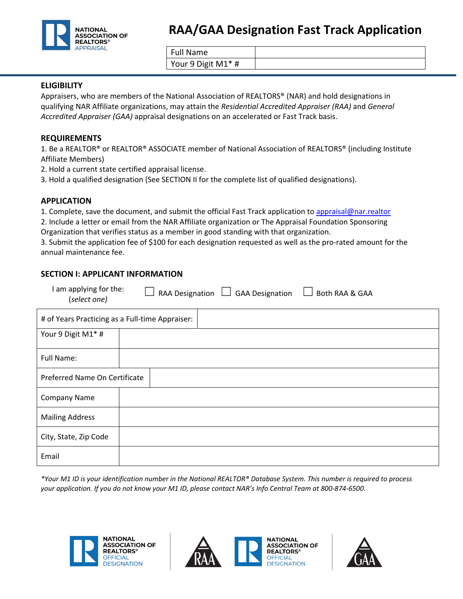

| <b>Full Name</b>   |  |
|--------------------|--|
| Your 9 Digit M1* # |  |

### **ELIGIBILITY**

Appraisers, who are members of the National Association of REALTORS® (NAR) and hold designations in qualifying NAR Affiliate organizations, may attain the *Residential Accredited Appraiser (RAA)* and *General Accredited Appraiser (GAA)* appraisal designations on an accelerated or Fast Track basis.

#### **REQUIREMENTS**

1. Be a REALTOR® or REALTOR® ASSOCIATE member of National Association of REALTORS® (including Institute Affiliate Members)

2. Hold a current state certified appraisal license.

3. Hold a qualified designation (See SECTION II for the complete list of qualified designations).

### **APPLICATION**

1. Complete, save the document, and submit the official Fast Track application to [appraisal@nar.realtor](mailto:appraisal@nar.realtor)

2. Include a letter or email from the NAR Affiliate organization or The Appraisal Foundation Sponsoring Organization that verifies status as a member in good standing with that organization.

3. Submit the application fee of \$100 for each designation requested as well as the pro-rated amount for the annual maintenance fee.

### **SECTION I: APPLICANT INFORMATION**

| I am applying for the:<br>(select one)          | Both RAA & GAA<br><b>RAA Designation</b><br><b>GAA Designation</b> |  |  |
|-------------------------------------------------|--------------------------------------------------------------------|--|--|
| # of Years Practicing as a Full-time Appraiser: |                                                                    |  |  |
| Your 9 Digit M1* #                              |                                                                    |  |  |
| Full Name:                                      |                                                                    |  |  |
| Preferred Name On Certificate                   |                                                                    |  |  |
| <b>Company Name</b>                             |                                                                    |  |  |
| <b>Mailing Address</b>                          |                                                                    |  |  |
| City, State, Zip Code                           |                                                                    |  |  |
| Email                                           |                                                                    |  |  |

*\*Your M1 ID is your identification number in the National REALTOR® Database System. This number is required to process your application. If you do not know your M1 ID, please contact NAR's Info Central Team at 800-874-6500.*





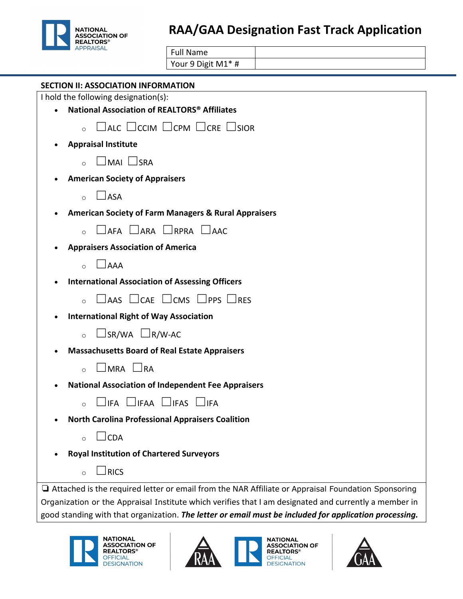

# **RAA/GAA Designation Fast Track Application**

| <b>Full Name</b>   |  |
|--------------------|--|
| Your 9 Digit M1* # |  |

| <b>SECTION II: ASSOCIATION INFORMATION</b>                                                                |
|-----------------------------------------------------------------------------------------------------------|
| I hold the following designation(s):                                                                      |
| National Association of REALTORS <sup>®</sup> Affiliates                                                  |
| $\Box$ ALC $\Box$ CCIM $\Box$ CPM $\Box$ CRE $\Box$ SIOR                                                  |
| <b>Appraisal Institute</b>                                                                                |
| $\Box$ MAI $\Box$ SRA<br>$\circ$                                                                          |
| <b>American Society of Appraisers</b>                                                                     |
| $\Box$ ASA<br>$\Omega$                                                                                    |
| <b>American Society of Farm Managers &amp; Rural Appraisers</b>                                           |
| $\Box$ afa $\Box$ ara $\Box$ rpra $\Box$ aac                                                              |
| <b>Appraisers Association of America</b>                                                                  |
| $\Box$ AAA<br>$\Omega$                                                                                    |
| <b>International Association of Assessing Officers</b>                                                    |
| $\Box$ AAS $\Box$ CAE $\Box$ CMS $\Box$ PPS $\Box$ RES                                                    |
| <b>International Right of Way Association</b>                                                             |
| $\Box$ SR/WA $\Box$ R/W-AC<br>$\circ$                                                                     |
| <b>Massachusetts Board of Real Estate Appraisers</b>                                                      |
| $\Box$ MRA $\Box$ RA<br>$\Omega$                                                                          |
| <b>National Association of Independent Fee Appraisers</b>                                                 |
| $\Box$ ifa $\Box$ ifaa $\Box$ ifas $\Box$ ifa                                                             |
| <b>North Carolina Professional Appraisers Coalition</b>                                                   |
| $\sqcup$ CDA<br>$\circ$                                                                                   |
| <b>Royal Institution of Chartered Surveyors</b>                                                           |
| $\overline{\phantom{a}}$ RICS<br>$\circ$                                                                  |
| $\Box$ Attached is the required letter or email from the NAR Affiliate or Appraisal Foundation Sponsoring |
| Organization or the Appraisal Institute which verifies that I am designated and currently a member in     |
| good standing with that organization. The letter or email must be included for application processing.    |





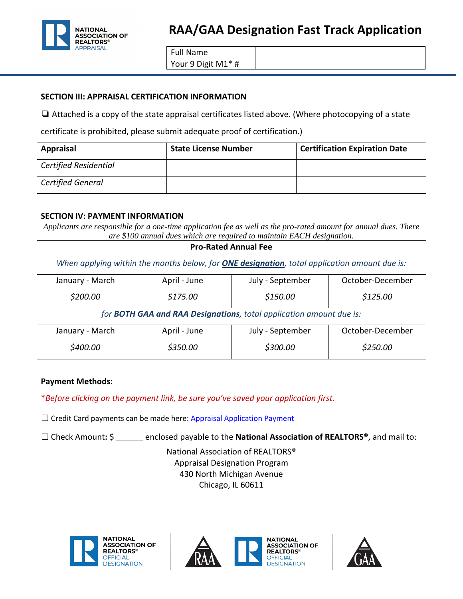

## **RAA/GAA Designation Fast Track Application**

Full Name

Your 9 Digit M1\* #

### **SECTION III: APPRAISAL CERTIFICATION INFORMATION**

❏ Attached is a copy of the state appraisal certificates listed above. (Where photocopying of a state

certificate is prohibited, please submit adequate proof of certification.)

| <b>Appraisal</b>             | <b>State License Number</b> | <b>Certification Expiration Date</b> |
|------------------------------|-----------------------------|--------------------------------------|
| <b>Certified Residential</b> |                             |                                      |
| <b>Certified General</b>     |                             |                                      |

### **SECTION IV: PAYMENT INFORMATION**

*Applicants are responsible for a one-time application fee as well as the pro-rated amount for annual dues. There are \$100 annual dues which are required to maintain EACH designation.*

| <b>Pro-Rated Annual Fee</b>                                                                          |              |                  |                  |  |  |
|------------------------------------------------------------------------------------------------------|--------------|------------------|------------------|--|--|
| When applying within the months below, for <b>ONE designation</b> , total application amount due is: |              |                  |                  |  |  |
| January - March                                                                                      | April - June | July - September | October-December |  |  |
| \$200.00                                                                                             | \$175.00     | \$150.00         | \$125.00         |  |  |
| for <b>BOTH GAA and RAA Designations</b> , total application amount due is:                          |              |                  |                  |  |  |
| January - March                                                                                      | April - June | July - September | October-December |  |  |
| \$400.00                                                                                             | \$350.00     | \$300.00         | \$250.00         |  |  |

### **Payment Methods:**

\**Before clicking on the payment link, be sure you've saved your application first.*

 $\Box$  Credit Card payments can be made here: [Appraisal Application Payment](https://secure.realtor.org/Appraisalapp.nsf/startreg?openform)

☐ Check Amount**:** \$ \_\_\_\_\_\_ enclosed payable to the **National Association of REALTORS®**, and mail to:

National Association of REALTORS® Appraisal Designation Program 430 North Michigan Avenue Chicago, IL 60611